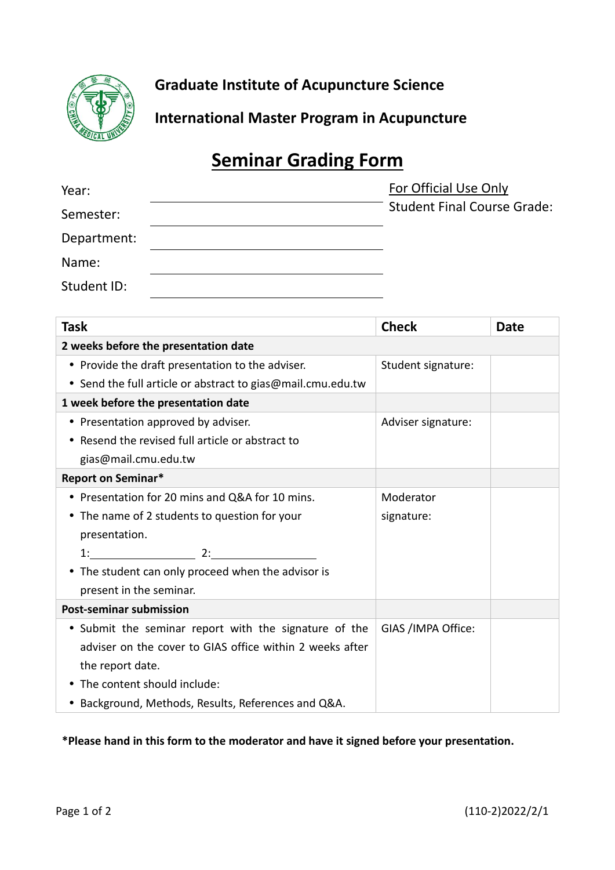

**Graduate Institute of Acupuncture Science**

**International Master Program in Acupuncture**

## **Seminar Grading Form**

| Year:       | For Official Use Only              |
|-------------|------------------------------------|
| Semester:   | <b>Student Final Course Grade:</b> |
| Department: |                                    |
| Name:       |                                    |
| Student ID: |                                    |

| Task                                                        | <b>Check</b>       | <b>Date</b> |
|-------------------------------------------------------------|--------------------|-------------|
| 2 weeks before the presentation date                        |                    |             |
| • Provide the draft presentation to the adviser.            | Student signature: |             |
| • Send the full article or abstract to gias@mail.cmu.edu.tw |                    |             |
| 1 week before the presentation date                         |                    |             |
| • Presentation approved by adviser.                         | Adviser signature: |             |
| • Resend the revised full article or abstract to            |                    |             |
| gias@mail.cmu.edu.tw                                        |                    |             |
| <b>Report on Seminar*</b>                                   |                    |             |
| • Presentation for 20 mins and Q&A for 10 mins.             | Moderator          |             |
| • The name of 2 students to question for your               | signature:         |             |
| presentation.                                               |                    |             |
| $1:$ 2:                                                     |                    |             |
| The student can only proceed when the advisor is            |                    |             |
| present in the seminar.                                     |                    |             |
| <b>Post-seminar submission</b>                              |                    |             |
| • Submit the seminar report with the signature of the       | GIAS /IMPA Office: |             |
| adviser on the cover to GIAS office within 2 weeks after    |                    |             |
| the report date.                                            |                    |             |
| • The content should include:                               |                    |             |
| • Background, Methods, Results, References and Q&A.         |                    |             |

**\*Please hand in this form to the moderator and have it signed before your presentation.**